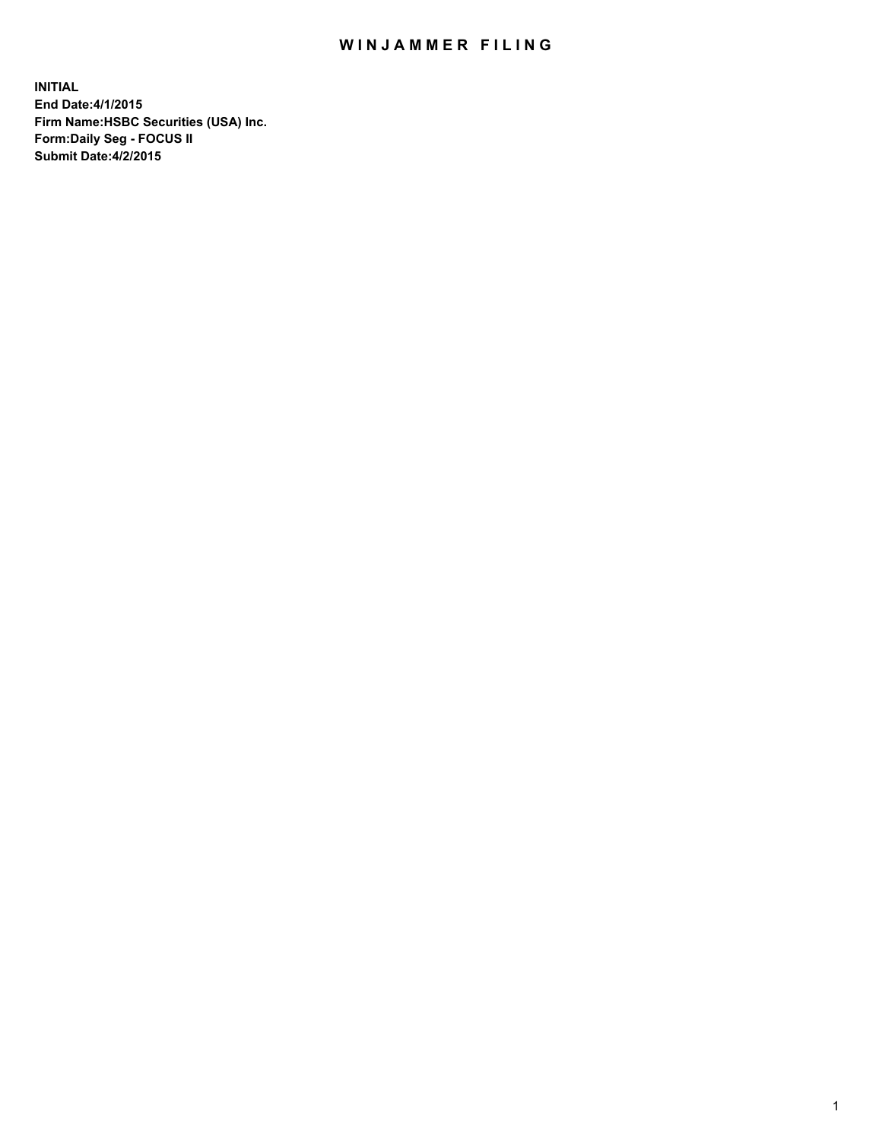## WIN JAMMER FILING

**INITIAL End Date:4/1/2015 Firm Name:HSBC Securities (USA) Inc. Form:Daily Seg - FOCUS II Submit Date:4/2/2015**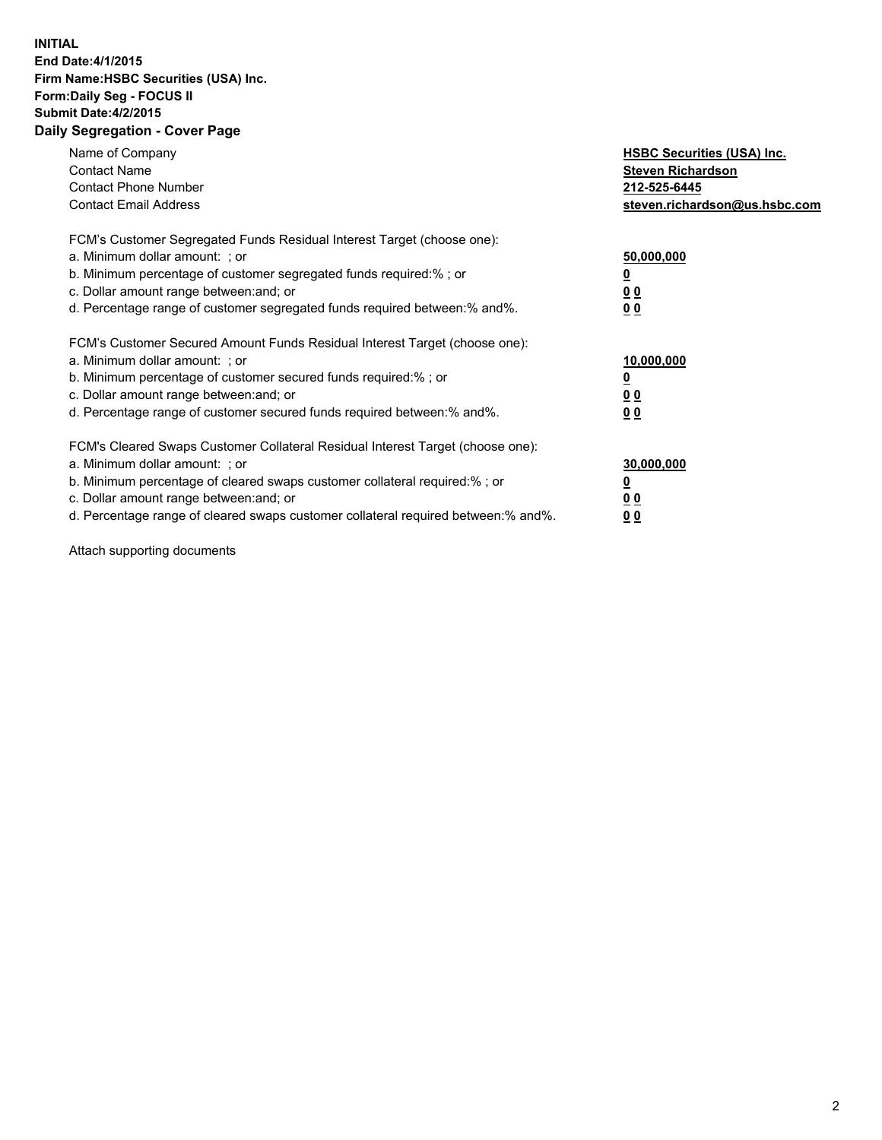## **INITIAL End Date:4/1/2015 Firm Name:HSBC Securities (USA) Inc. Form:Daily Seg - FOCUS II Submit Date:4/2/2015 Daily Segregation - Cover Page**

| Name of Company<br><b>Contact Name</b><br><b>Contact Phone Number</b><br><b>Contact Email Address</b>                                                                                                                                                                                                                         | <b>HSBC Securities (USA) Inc.</b><br><b>Steven Richardson</b><br>212-525-6445<br>steven.richardson@us.hsbc.com |
|-------------------------------------------------------------------------------------------------------------------------------------------------------------------------------------------------------------------------------------------------------------------------------------------------------------------------------|----------------------------------------------------------------------------------------------------------------|
| FCM's Customer Segregated Funds Residual Interest Target (choose one):<br>a. Minimum dollar amount: ; or<br>b. Minimum percentage of customer segregated funds required:% ; or<br>c. Dollar amount range between: and; or<br>d. Percentage range of customer segregated funds required between: % and %.                      | 50,000,000<br>00<br>0 <sub>0</sub>                                                                             |
| FCM's Customer Secured Amount Funds Residual Interest Target (choose one):<br>a. Minimum dollar amount: ; or<br>b. Minimum percentage of customer secured funds required:%; or<br>c. Dollar amount range between: and; or<br>d. Percentage range of customer secured funds required between:% and%.                           | 10,000,000<br>0 <sub>0</sub><br>0 <sub>0</sub>                                                                 |
| FCM's Cleared Swaps Customer Collateral Residual Interest Target (choose one):<br>a. Minimum dollar amount: ; or<br>b. Minimum percentage of cleared swaps customer collateral required:%; or<br>c. Dollar amount range between: and; or<br>d. Percentage range of cleared swaps customer collateral required between:% and%. | 30,000,000<br>0 <sub>0</sub><br>00                                                                             |

Attach supporting documents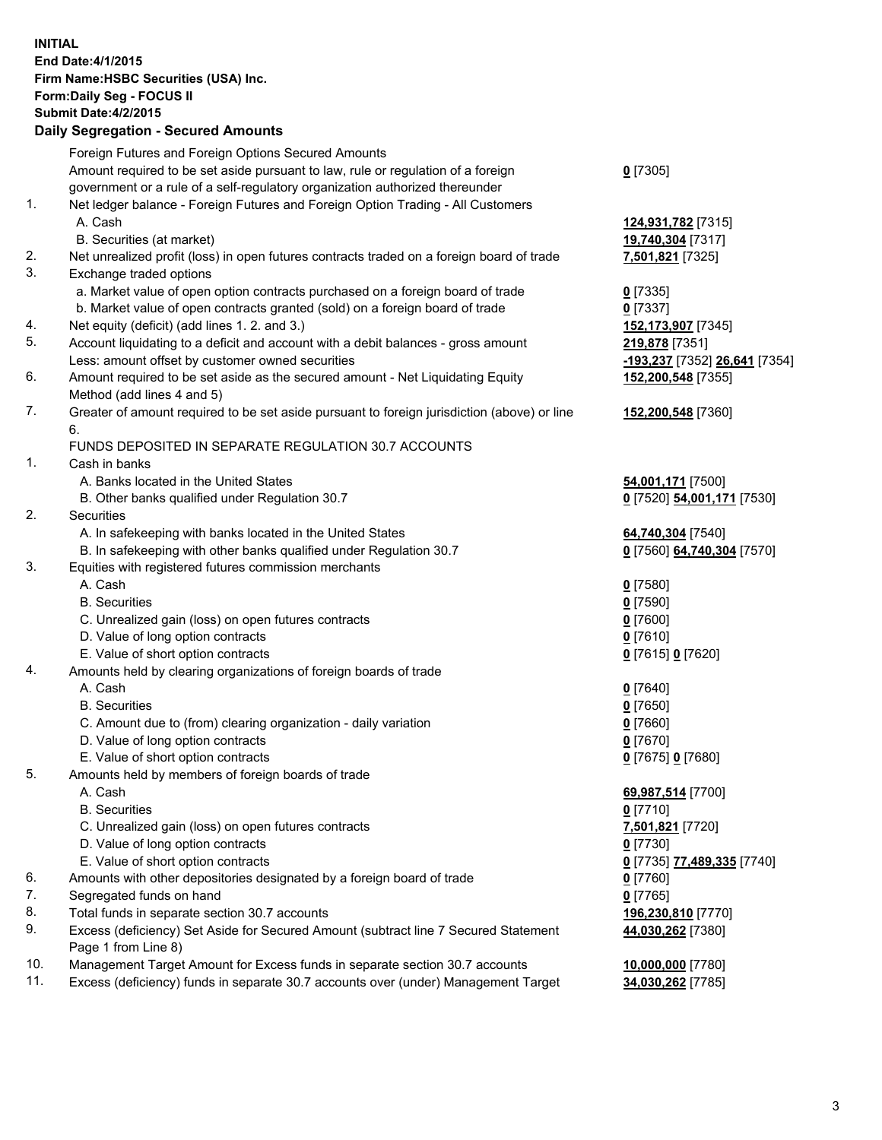**INITIAL End Date:4/1/2015 Firm Name:HSBC Securities (USA) Inc. Form:Daily Seg - FOCUS II Submit Date:4/2/2015 Daily Segregation - Secured Amounts** Foreign Futures and Foreign Options Secured Amounts Amount required to be set aside pursuant to law, rule or regulation of a foreign government or a rule of a self-regulatory organization authorized thereunder **0** [7305] 1. Net ledger balance - Foreign Futures and Foreign Option Trading - All Customers A. Cash **124,931,782** [7315] B. Securities (at market) **19,740,304** [7317] 2. Net unrealized profit (loss) in open futures contracts traded on a foreign board of trade **7,501,821** [7325] 3. Exchange traded options a. Market value of open option contracts purchased on a foreign board of trade **0** [7335] b. Market value of open contracts granted (sold) on a foreign board of trade **0** [7337] 4. Net equity (deficit) (add lines 1. 2. and 3.) **152,173,907** [7345] 5. Account liquidating to a deficit and account with a debit balances - gross amount **219,878** [7351] Less: amount offset by customer owned securities **-193,237** [7352] **26,641** [7354] 6. Amount required to be set aside as the secured amount - Net Liquidating Equity Method (add lines 4 and 5) **152,200,548** [7355] 7. Greater of amount required to be set aside pursuant to foreign jurisdiction (above) or line 6. **152,200,548** [7360] FUNDS DEPOSITED IN SEPARATE REGULATION 30.7 ACCOUNTS 1. Cash in banks A. Banks located in the United States **54,001,171** [7500] B. Other banks qualified under Regulation 30.7 **0** [7520] **54,001,171** [7530] 2. Securities A. In safekeeping with banks located in the United States **64,740,304** [7540] B. In safekeeping with other banks qualified under Regulation 30.7 **0** [7560] **64,740,304** [7570] 3. Equities with registered futures commission merchants A. Cash **0** [7580] B. Securities **0** [7590] C. Unrealized gain (loss) on open futures contracts **0** [7600] D. Value of long option contracts **0** [7610] E. Value of short option contracts **0** [7615] **0** [7620] 4. Amounts held by clearing organizations of foreign boards of trade A. Cash **0** [7640] B. Securities **0** [7650] C. Amount due to (from) clearing organization - daily variation **0** [7660] D. Value of long option contracts **0** [7670] E. Value of short option contracts **0** [7675] **0** [7680] 5. Amounts held by members of foreign boards of trade A. Cash **69,987,514** [7700] B. Securities **0** [7710] C. Unrealized gain (loss) on open futures contracts **7,501,821** [7720] D. Value of long option contracts **0** [7730] E. Value of short option contracts **0** [7735] **77,489,335** [7740] 6. Amounts with other depositories designated by a foreign board of trade **0** [7760] 7. Segregated funds on hand **0** [7765] 8. Total funds in separate section 30.7 accounts **196,230,810** [7770] 9. Excess (deficiency) Set Aside for Secured Amount (subtract line 7 Secured Statement Page 1 from Line 8) **44,030,262** [7380]

10. Management Target Amount for Excess funds in separate section 30.7 accounts **10,000,000** [7780]

11. Excess (deficiency) funds in separate 30.7 accounts over (under) Management Target **34,030,262** [7785]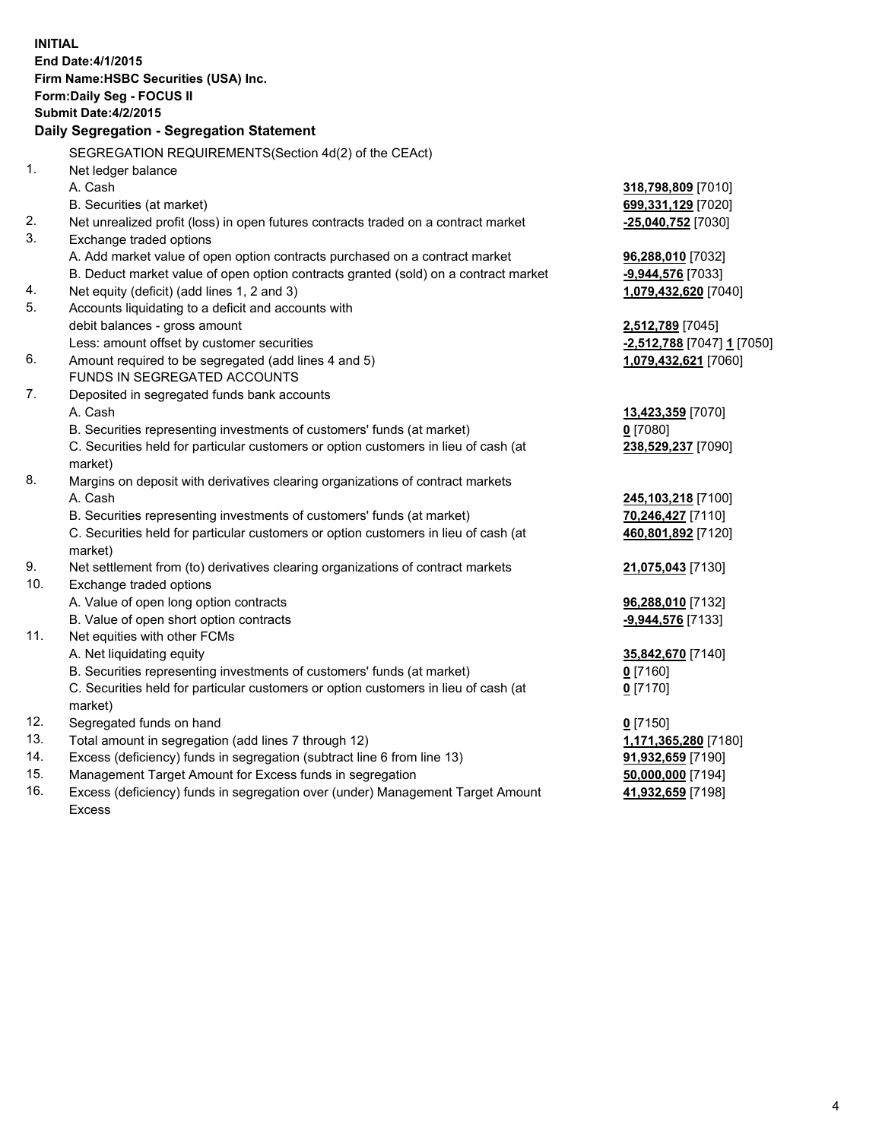| <b>INITIAL</b> | End Date: 4/1/2015<br>Firm Name: HSBC Securities (USA) Inc.<br>Form: Daily Seg - FOCUS II<br><b>Submit Date:4/2/2015</b><br>Daily Segregation - Segregation Statement |                            |
|----------------|-----------------------------------------------------------------------------------------------------------------------------------------------------------------------|----------------------------|
| 1.             | SEGREGATION REQUIREMENTS(Section 4d(2) of the CEAct)<br>Net ledger balance                                                                                            |                            |
|                | A. Cash                                                                                                                                                               | 318,798,809 [7010]         |
|                | B. Securities (at market)                                                                                                                                             | 699,331,129 [7020]         |
| 2.             | Net unrealized profit (loss) in open futures contracts traded on a contract market                                                                                    | -25,040,752 [7030]         |
| 3.             | Exchange traded options                                                                                                                                               |                            |
|                | A. Add market value of open option contracts purchased on a contract market                                                                                           | 96,288,010 [7032]          |
|                | B. Deduct market value of open option contracts granted (sold) on a contract market                                                                                   | -9,944,576 [7033]          |
| 4.             | Net equity (deficit) (add lines 1, 2 and 3)                                                                                                                           | 1,079,432,620 [7040]       |
| 5.             | Accounts liquidating to a deficit and accounts with                                                                                                                   |                            |
|                | debit balances - gross amount                                                                                                                                         | 2,512,789 [7045]           |
|                | Less: amount offset by customer securities                                                                                                                            | -2,512,788 [7047] 1 [7050] |
| 6.             | Amount required to be segregated (add lines 4 and 5)                                                                                                                  | 1,079,432,621 [7060]       |
|                | FUNDS IN SEGREGATED ACCOUNTS                                                                                                                                          |                            |
| 7.             | Deposited in segregated funds bank accounts                                                                                                                           |                            |
|                | A. Cash                                                                                                                                                               | 13,423,359 [7070]          |
|                | B. Securities representing investments of customers' funds (at market)                                                                                                | $0$ [7080]                 |
|                | C. Securities held for particular customers or option customers in lieu of cash (at<br>market)                                                                        | 238,529,237 [7090]         |
| 8.             | Margins on deposit with derivatives clearing organizations of contract markets                                                                                        |                            |
|                | A. Cash                                                                                                                                                               | 245,103,218 [7100]         |
|                | B. Securities representing investments of customers' funds (at market)                                                                                                | 70,246,427 [7110]          |
|                | C. Securities held for particular customers or option customers in lieu of cash (at<br>market)                                                                        | 460,801,892 [7120]         |
| 9.             | Net settlement from (to) derivatives clearing organizations of contract markets                                                                                       | 21,075,043 [7130]          |
| 10.            | Exchange traded options                                                                                                                                               |                            |
|                | A. Value of open long option contracts                                                                                                                                | 96,288,010 [7132]          |
|                | B. Value of open short option contracts                                                                                                                               | -9,944,576 [7133]          |
| 11.            | Net equities with other FCMs                                                                                                                                          |                            |
|                | A. Net liquidating equity                                                                                                                                             | 35,842,670 [7140]          |
|                | B. Securities representing investments of customers' funds (at market)                                                                                                | 0 [7160]                   |
|                | C. Securities held for particular customers or option customers in lieu of cash (at<br>market)                                                                        | 0 <sup>[7170]</sup>        |
| 12.            | Segregated funds on hand                                                                                                                                              | $0$ [7150]                 |
| 13.            | Total amount in segregation (add lines 7 through 12)                                                                                                                  | 1,171,365,280 [7180]       |
| 14.            | Excess (deficiency) funds in segregation (subtract line 6 from line 13)                                                                                               | 91,932,659 [7190]          |
| 15.            | Management Target Amount for Excess funds in segregation                                                                                                              | 50,000,000 [7194]          |
| 16.            | Excess (deficiency) funds in segregation over (under) Management Target Amount<br><b>Excess</b>                                                                       | 41,932,659 [7198]          |